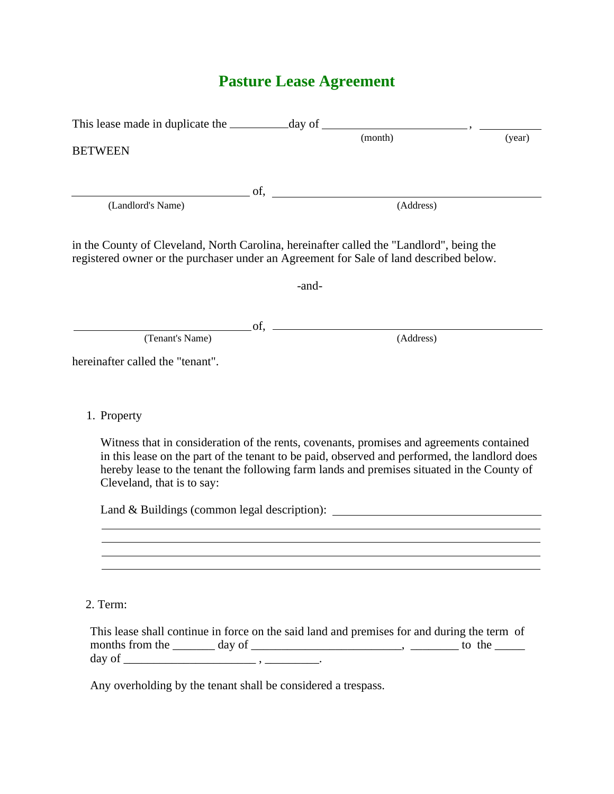# **Pasture Lease Agreement**

| <b>BETWEEN</b>                   | (month)                                                                                                                                                                                                                                                                                                  | (year) |
|----------------------------------|----------------------------------------------------------------------------------------------------------------------------------------------------------------------------------------------------------------------------------------------------------------------------------------------------------|--------|
|                                  | $\overline{\text{of}},$                                                                                                                                                                                                                                                                                  |        |
| (Landlord's Name)                | (Address)                                                                                                                                                                                                                                                                                                |        |
|                                  | in the County of Cleveland, North Carolina, hereinafter called the "Landlord", being the<br>registered owner or the purchaser under an Agreement for Sale of land described below.                                                                                                                       |        |
|                                  | -and-                                                                                                                                                                                                                                                                                                    |        |
|                                  | $\circ$ of $\circ$ and $\circ$ and $\circ$ and $\circ$ and $\circ$ and $\circ$ and $\circ$ and $\circ$ and $\circ$ and $\circ$ and $\circ$ and $\circ$ and $\circ$ and $\circ$ and $\circ$ and $\circ$ and $\circ$ and $\circ$ and $\circ$ and $\circ$ and $\circ$ and $\circ$ and $\circ$ and $\circ$ a |        |
| (Tenant's Name)                  | (Address)                                                                                                                                                                                                                                                                                                |        |
| hereinafter called the "tenant". |                                                                                                                                                                                                                                                                                                          |        |
| 1. Property                      |                                                                                                                                                                                                                                                                                                          |        |
| Cleveland, that is to say:       | Witness that in consideration of the rents, covenants, promises and agreements contained<br>in this lease on the part of the tenant to be paid, observed and performed, the landlord does<br>hereby lease to the tenant the following farm lands and premises situated in the County of                  |        |
|                                  | Land & Buildings (common legal description): ___________________________________                                                                                                                                                                                                                         |        |
|                                  |                                                                                                                                                                                                                                                                                                          |        |
|                                  |                                                                                                                                                                                                                                                                                                          |        |
|                                  |                                                                                                                                                                                                                                                                                                          |        |
| 2. Term:                         |                                                                                                                                                                                                                                                                                                          |        |
|                                  |                                                                                                                                                                                                                                                                                                          |        |

This lease shall continue in force on the said land and premises for and during the term of months from the  $\_\_\_\_$  day of  $\_\_\_\_\_\_\_\_\_\_$ day of \_\_\_\_\_\_\_\_\_\_\_\_\_\_\_\_\_\_\_\_\_\_ , \_\_\_\_\_\_\_\_\_.

Any overholding by the tenant shall be considered a trespass.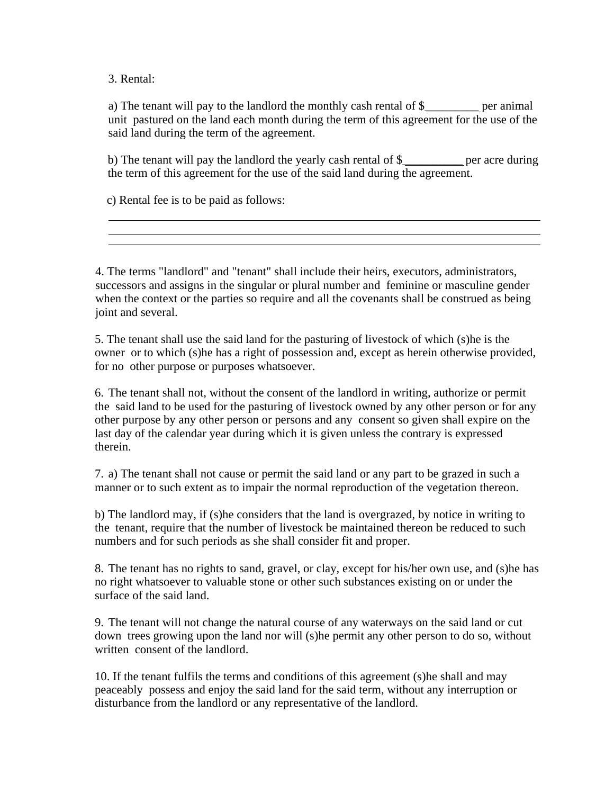3. Rental:

 a) The tenant will pay to the landlord the monthly cash rental of \$\_\_\_\_\_\_\_\_\_ per animal unit pastured on the land each month during the term of this agreement for the use of the said land during the term of the agreement.

 b) The tenant will pay the landlord the yearly cash rental of \$\_\_\_\_\_\_\_\_\_\_ per acre during the term of this agreement for the use of the said land during the agreement.

c) Rental fee is to be paid as follows:

4. The terms "landlord" and "tenant" shall include their heirs, executors, administrators, successors and assigns in the singular or plural number and feminine or masculine gender when the context or the parties so require and all the covenants shall be construed as being joint and several.

5. The tenant shall use the said land for the pasturing of livestock of which (s)he is the owner or to which (s)he has a right of possession and, except as herein otherwise provided, for no other purpose or purposes whatsoever.

6. The tenant shall not, without the consent of the landlord in writing, authorize or permit the said land to be used for the pasturing of livestock owned by any other person or for any other purpose by any other person or persons and any consent so given shall expire on the last day of the calendar year during which it is given unless the contrary is expressed therein.

7. a) The tenant shall not cause or permit the said land or any part to be grazed in such a manner or to such extent as to impair the normal reproduction of the vegetation thereon.

b) The landlord may, if (s)he considers that the land is overgrazed, by notice in writing to the tenant, require that the number of livestock be maintained thereon be reduced to such numbers and for such periods as she shall consider fit and proper.

8. The tenant has no rights to sand, gravel, or clay, except for his/her own use, and (s)he has no right whatsoever to valuable stone or other such substances existing on or under the surface of the said land.

9. The tenant will not change the natural course of any waterways on the said land or cut down trees growing upon the land nor will (s)he permit any other person to do so, without written consent of the landlord.

10. If the tenant fulfils the terms and conditions of this agreement (s)he shall and may peaceably possess and enjoy the said land for the said term, without any interruption or disturbance from the landlord or any representative of the landlord.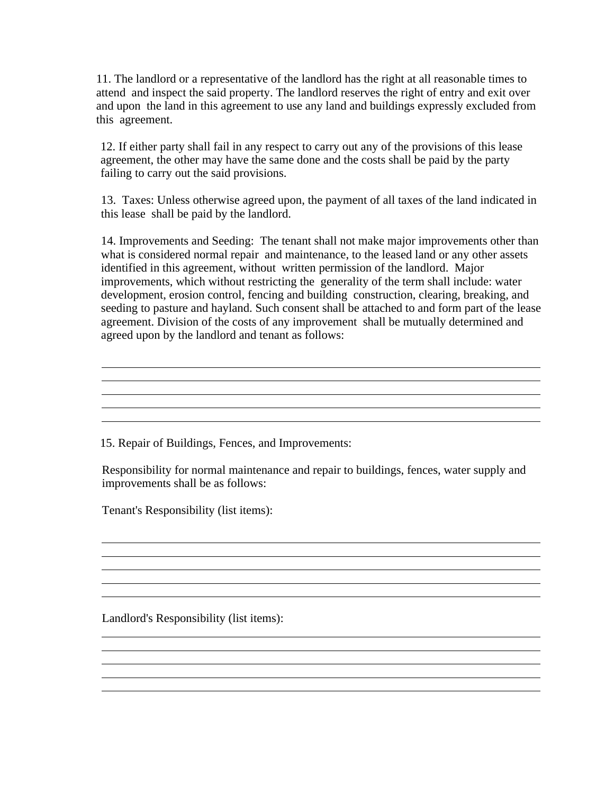11. The landlord or a representative of the landlord has the right at all reasonable times to attend and inspect the said property. The landlord reserves the right of entry and exit over and upon the land in this agreement to use any land and buildings expressly excluded from this agreement.

12. If either party shall fail in any respect to carry out any of the provisions of this lease agreement, the other may have the same done and the costs shall be paid by the party failing to carry out the said provisions.

13. Taxes: Unless otherwise agreed upon, the payment of all taxes of the land indicated in this lease shall be paid by the landlord.

14. Improvements and Seeding: The tenant shall not make major improvements other than what is considered normal repair and maintenance, to the leased land or any other assets identified in this agreement, without written permission of the landlord. Major improvements, which without restricting the generality of the term shall include: water development, erosion control, fencing and building construction, clearing, breaking, and seeding to pasture and hayland. Such consent shall be attached to and form part of the lease agreement. Division of the costs of any improvement shall be mutually determined and agreed upon by the landlord and tenant as follows:

<u> 1989 - Johann Stoff, amerikansk politiker (\* 1908)</u>

<u> 1989 - Johann Stoff, amerikansk politiker (d. 1989)</u>

and the control of the control of the control of the control of the control of the control of the control of the

15. Repair of Buildings, Fences, and Improvements:

Responsibility for normal maintenance and repair to buildings, fences, water supply and improvements shall be as follows:

Tenant's Responsibility (list items):

Landlord's Responsibility (list items):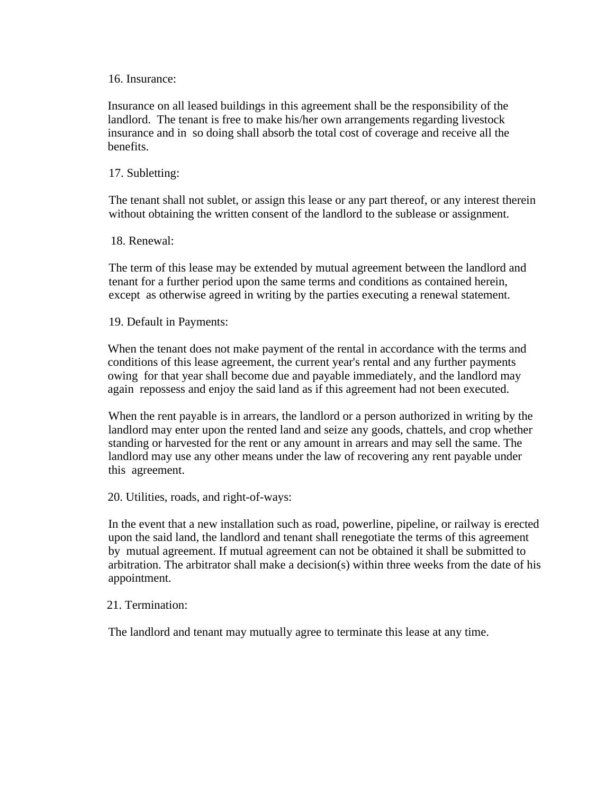### 16. Insurance:

Insurance on all leased buildings in this agreement shall be the responsibility of the landlord. The tenant is free to make his/her own arrangements regarding livestock insurance and in so doing shall absorb the total cost of coverage and receive all the benefits.

# 17. Subletting:

The tenant shall not sublet, or assign this lease or any part thereof, or any interest therein without obtaining the written consent of the landlord to the sublease or assignment.

## 18. Renewal:

The term of this lease may be extended by mutual agreement between the landlord and tenant for a further period upon the same terms and conditions as contained herein, except as otherwise agreed in writing by the parties executing a renewal statement.

19. Default in Payments:

When the tenant does not make payment of the rental in accordance with the terms and conditions of this lease agreement, the current year's rental and any further payments owing for that year shall become due and payable immediately, and the landlord may again repossess and enjoy the said land as if this agreement had not been executed.

When the rent payable is in arrears, the landlord or a person authorized in writing by the landlord may enter upon the rented land and seize any goods, chattels, and crop whether standing or harvested for the rent or any amount in arrears and may sell the same. The landlord may use any other means under the law of recovering any rent payable under this agreement.

20. Utilities, roads, and right-of-ways:

In the event that a new installation such as road, powerline, pipeline, or railway is erected upon the said land, the landlord and tenant shall renegotiate the terms of this agreement by mutual agreement. If mutual agreement can not be obtained it shall be submitted to arbitration. The arbitrator shall make a decision(s) within three weeks from the date of his appointment.

### 21. Termination:

The landlord and tenant may mutually agree to terminate this lease at any time.